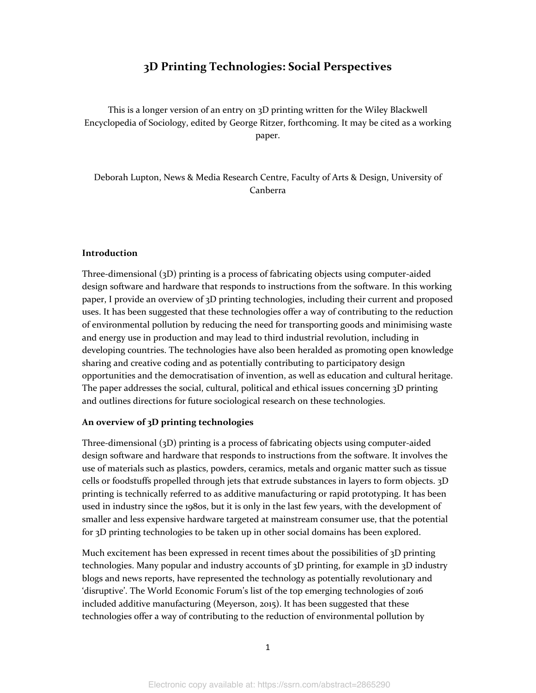# **3D Printing Technologies: Social Perspectives**

This is a longer version of an entry on 3D printing written for the Wiley Blackwell Encyclopedia of Sociology, edited by George Ritzer, forthcoming. It may be cited as a working paper.

Deborah Lupton, News & Media Research Centre, Faculty of Arts & Design, University of Canberra

#### **Introduction**

Three-dimensional (3D) printing is a process of fabricating objects using computer-aided design software and hardware that responds to instructions from the software. In this working paper, I provide an overview of 3D printing technologies, including their current and proposed uses. It has been suggested that these technologies offer a way of contributing to the reduction of environmental pollution by reducing the need for transporting goods and minimising waste and energy use in production and may lead to third industrial revolution, including in developing countries. The technologies have also been heralded as promoting open knowledge sharing and creative coding and as potentially contributing to participatory design opportunities and the democratisation of invention, as well as education and cultural heritage. The paper addresses the social, cultural, political and ethical issues concerning 3D printing and outlines directions for future sociological research on these technologies.

## **An overview of 3D printing technologies**

Three-dimensional (3D) printing is a process of fabricating objects using computer-aided design software and hardware that responds to instructions from the software. It involves the use of materials such as plastics, powders, ceramics, metals and organic matter such as tissue cells or foodstuffs propelled through jets that extrude substances in layers to form objects. 3D printing is technically referred to as additive manufacturing or rapid prototyping. It has been used in industry since the 1980s, but it is only in the last few years, with the development of smaller and less expensive hardware targeted at mainstream consumer use, that the potential for 3D printing technologies to be taken up in other social domains has been explored.

Much excitement has been expressed in recent times about the possibilities of  $3D$  printing technologies. Many popular and industry accounts of 3D printing, for example in 3D industry blogs and news reports, have represented the technology as potentially revolutionary and 'disruptive'. The World Economic Forum's list of the top emerging technologies of 2016 included additive manufacturing (Meyerson, 2015). It has been suggested that these technologies offer a way of contributing to the reduction of environmental pollution by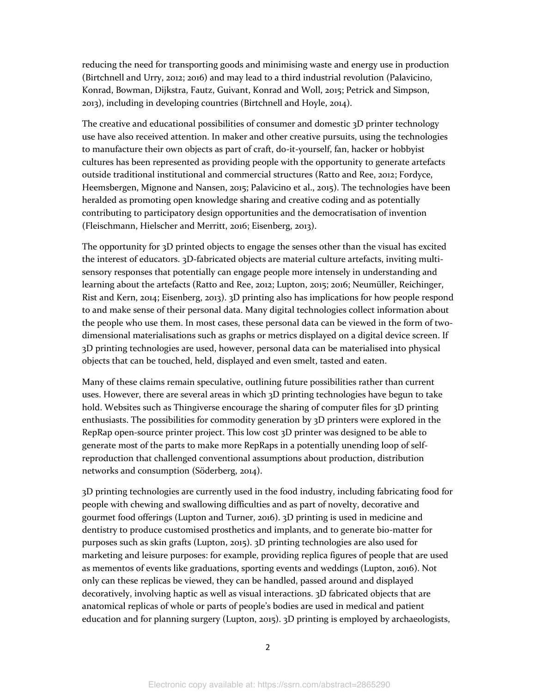reducing the need for transporting goods and minimising waste and energy use in production (Birtchnell and Urry, 2012; 2016) and may lead to a third industrial revolution (Palavicino, Konrad, Bowman, Dijkstra, Fautz, Guivant, Konrad and Woll, 2015; Petrick and Simpson, 2013), including in developing countries (Birtchnell and Hoyle, 2014).

The creative and educational possibilities of consumer and domestic 3D printer technology use have also received attention. In maker and other creative pursuits, using the technologies to manufacture their own objects as part of craft, do-it-yourself, fan, hacker or hobbyist cultures has been represented as providing people with the opportunity to generate artefacts outside traditional institutional and commercial structures (Ratto and Ree, 2012; Fordyce, Heemsbergen, Mignone and Nansen, 2015; Palavicino et al., 2015). The technologies have been heralded as promoting open knowledge sharing and creative coding and as potentially contributing to participatory design opportunities and the democratisation of invention (Fleischmann, Hielscher and Merritt, 2016; Eisenberg, 2013).

The opportunity for 3D printed objects to engage the senses other than the visual has excited the interest of educators. 3D-fabricated objects are material culture artefacts, inviting multisensory responses that potentially can engage people more intensely in understanding and learning about the artefacts (Ratto and Ree, 2012; Lupton, 2015; 2016; Neumüller, Reichinger, Rist and Kern, 2014; Eisenberg, 2013). 3D printing also has implications for how people respond to and make sense of their personal data. Many digital technologies collect information about the people who use them. In most cases, these personal data can be viewed in the form of twodimensional materialisations such as graphs or metrics displayed on a digital device screen. If 3D printing technologies are used, however, personal data can be materialised into physical objects that can be touched, held, displayed and even smelt, tasted and eaten.

Many of these claims remain speculative, outlining future possibilities rather than current uses. However, there are several areas in which 3D printing technologies have begun to take hold. Websites such as Thingiverse encourage the sharing of computer files for 3D printing enthusiasts. The possibilities for commodity generation by 3D printers were explored in the RepRap open-source printer project. This low cost 3D printer was designed to be able to generate most of the parts to make more RepRaps in a potentially unending loop of selfreproduction that challenged conventional assumptions about production, distribution networks and consumption (Söderberg, 2014).

3D printing technologies are currently used in the food industry, including fabricating food for people with chewing and swallowing difficulties and as part of novelty, decorative and gourmet food offerings (Lupton and Turner, 2016). 3D printing is used in medicine and dentistry to produce customised prosthetics and implants, and to generate bio-matter for purposes such as skin grafts (Lupton, 2015). 3D printing technologies are also used for marketing and leisure purposes: for example, providing replica figures of people that are used as mementos of events like graduations, sporting events and weddings (Lupton, 2016). Not only can these replicas be viewed, they can be handled, passed around and displayed decoratively, involving haptic as well as visual interactions. 3D fabricated objects that are anatomical replicas of whole or parts of people's bodies are used in medical and patient education and for planning surgery (Lupton, 2015). 3D printing is employed by archaeologists,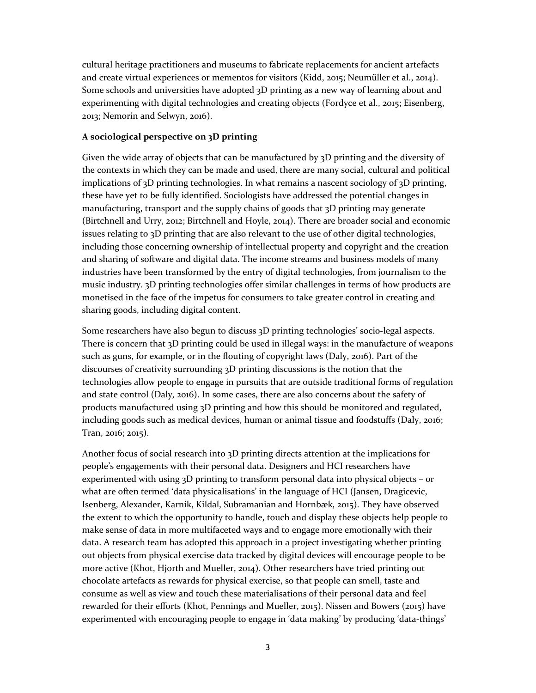cultural heritage practitioners and museums to fabricate replacements for ancient artefacts and create virtual experiences or mementos for visitors (Kidd, 2015; Neumüller et al., 2014). Some schools and universities have adopted 3D printing as a new way of learning about and experimenting with digital technologies and creating objects (Fordyce et al., 2015; Eisenberg, 2013; Nemorin and Selwyn, 2016).

## **A sociological perspective on 3D printing**

Given the wide array of objects that can be manufactured by 3D printing and the diversity of the contexts in which they can be made and used, there are many social, cultural and political implications of 3D printing technologies. In what remains a nascent sociology of 3D printing, these have yet to be fully identified. Sociologists have addressed the potential changes in manufacturing, transport and the supply chains of goods that 3D printing may generate (Birtchnell and Urry, 2012; Birtchnell and Hoyle, 2014). There are broader social and economic issues relating to 3D printing that are also relevant to the use of other digital technologies, including those concerning ownership of intellectual property and copyright and the creation and sharing of software and digital data. The income streams and business models of many industries have been transformed by the entry of digital technologies, from journalism to the music industry. 3D printing technologies offer similar challenges in terms of how products are monetised in the face of the impetus for consumers to take greater control in creating and sharing goods, including digital content.

Some researchers have also begun to discuss 3D printing technologies' socio-legal aspects. There is concern that 3D printing could be used in illegal ways: in the manufacture of weapons such as guns, for example, or in the flouting of copyright laws (Daly, 2016). Part of the discourses of creativity surrounding 3D printing discussions is the notion that the technologies allow people to engage in pursuits that are outside traditional forms of regulation and state control (Daly, 2016). In some cases, there are also concerns about the safety of products manufactured using 3D printing and how this should be monitored and regulated, including goods such as medical devices, human or animal tissue and foodstuffs (Daly, 2016; Tran, 2016; 2015).

Another focus of social research into 3D printing directs attention at the implications for people's engagements with their personal data. Designers and HCI researchers have experimented with using 3D printing to transform personal data into physical objects – or what are often termed 'data physicalisations' in the language of HCI (Jansen, Dragicevic, Isenberg, Alexander, Karnik, Kildal, Subramanian and Hornbæk, 2015). They have observed the extent to which the opportunity to handle, touch and display these objects help people to make sense of data in more multifaceted ways and to engage more emotionally with their data. A research team has adopted this approach in a project investigating whether printing out objects from physical exercise data tracked by digital devices will encourage people to be more active (Khot, Hjorth and Mueller, 2014). Other researchers have tried printing out chocolate artefacts as rewards for physical exercise, so that people can smell, taste and consume as well as view and touch these materialisations of their personal data and feel rewarded for their efforts (Khot, Pennings and Mueller, 2015). Nissen and Bowers (2015) have experimented with encouraging people to engage in 'data making' by producing 'data-things'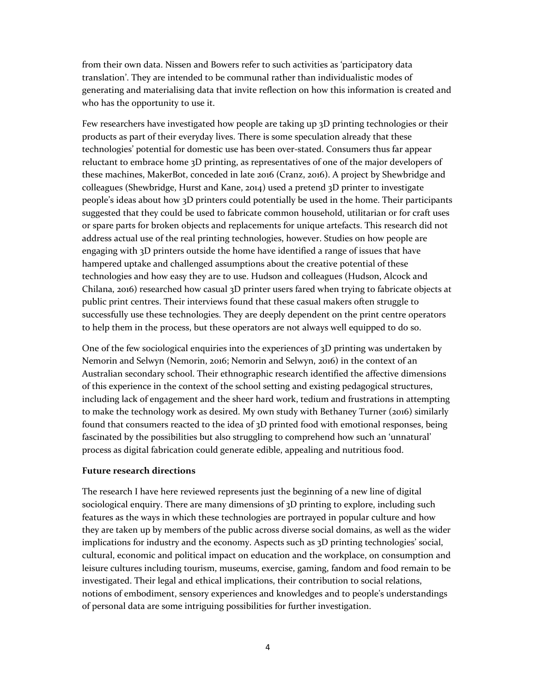from their own data. Nissen and Bowers refer to such activities as 'participatory data translation'. They are intended to be communal rather than individualistic modes of generating and materialising data that invite reflection on how this information is created and who has the opportunity to use it.

Few researchers have investigated how people are taking up 3D printing technologies or their products as part of their everyday lives. There is some speculation already that these technologies' potential for domestic use has been over-stated. Consumers thus far appear reluctant to embrace home 3D printing, as representatives of one of the major developers of these machines, MakerBot, conceded in late 2016 (Cranz, 2016). A project by Shewbridge and colleagues (Shewbridge, Hurst and Kane, 2014) used a pretend 3D printer to investigate people's ideas about how 3D printers could potentially be used in the home. Their participants suggested that they could be used to fabricate common household, utilitarian or for craft uses or spare parts for broken objects and replacements for unique artefacts. This research did not address actual use of the real printing technologies, however. Studies on how people are engaging with 3D printers outside the home have identified a range of issues that have hampered uptake and challenged assumptions about the creative potential of these technologies and how easy they are to use. Hudson and colleagues (Hudson, Alcock and Chilana, 2016) researched how casual 3D printer users fared when trying to fabricate objects at public print centres. Their interviews found that these casual makers often struggle to successfully use these technologies. They are deeply dependent on the print centre operators to help them in the process, but these operators are not always well equipped to do so.

One of the few sociological enquiries into the experiences of 3D printing was undertaken by Nemorin and Selwyn (Nemorin, 2016; Nemorin and Selwyn, 2016) in the context of an Australian secondary school. Their ethnographic research identified the affective dimensions of this experience in the context of the school setting and existing pedagogical structures, including lack of engagement and the sheer hard work, tedium and frustrations in attempting to make the technology work as desired. My own study with Bethaney Turner (2016) similarly found that consumers reacted to the idea of 3D printed food with emotional responses, being fascinated by the possibilities but also struggling to comprehend how such an 'unnatural' process as digital fabrication could generate edible, appealing and nutritious food.

### **Future research directions**

The research I have here reviewed represents just the beginning of a new line of digital sociological enquiry. There are many dimensions of 3D printing to explore, including such features as the ways in which these technologies are portrayed in popular culture and how they are taken up by members of the public across diverse social domains, as well as the wider implications for industry and the economy. Aspects such as 3D printing technologies' social, cultural, economic and political impact on education and the workplace, on consumption and leisure cultures including tourism, museums, exercise, gaming, fandom and food remain to be investigated. Their legal and ethical implications, their contribution to social relations, notions of embodiment, sensory experiences and knowledges and to people's understandings of personal data are some intriguing possibilities for further investigation.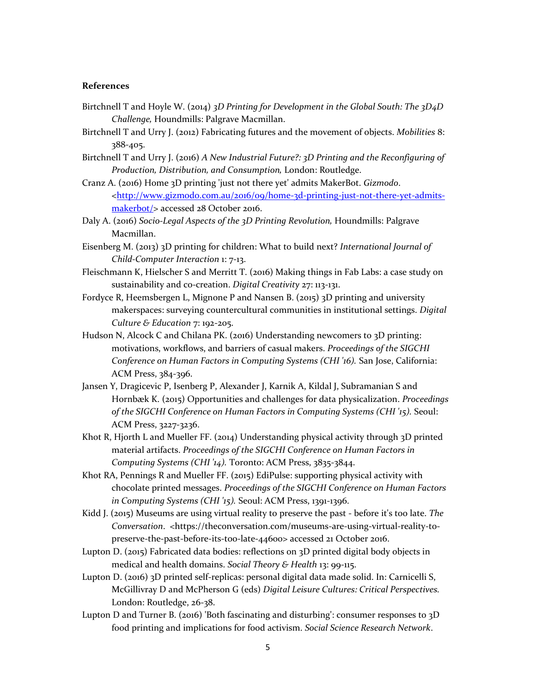#### **References**

- Birtchnell T and Hoyle W. (2014) *3D Printing for Development in the Global South: The 3D4D Challenge,* Houndmills: Palgrave Macmillan.
- Birtchnell T and Urry J. (2012) Fabricating futures and the movement of objects. *Mobilities* 8: 388-405.
- Birtchnell T and Urry J. (2016) *A New Industrial Future?: 3D Printing and the Reconfiguring of Production, Distribution, and Consumption,* London: Routledge.
- Cranz A. (2016) Home 3D printing 'just not there yet' admits MakerBot. *Gizmodo*. <http://www.gizmodo.com.au/2016/09/home-3d-printing-just-not-there-yet-admitsmakerbot/> accessed 28 October 2016.
- Daly A. (2016) *Socio-Legal Aspects of the 3D Printing Revolution,* Houndmills: Palgrave Macmillan.
- Eisenberg M. (2013) 3D printing for children: What to build next? *International Journal of Child-Computer Interaction* 1: 7-13.
- Fleischmann K, Hielscher S and Merritt T. (2016) Making things in Fab Labs: a case study on sustainability and co-creation. *Digital Creativity* 27: 113-131.
- Fordyce R, Heemsbergen L, Mignone P and Nansen B. (2015) 3D printing and university makerspaces: surveying countercultural communities in institutional settings. *Digital Culture & Education* 7: 192-205.
- Hudson N, Alcock C and Chilana PK. (2016) Understanding newcomers to 3D printing: motivations, workflows, and barriers of casual makers. *Proceedings of the SIGCHI Conference on Human Factors in Computing Systems (CHI '16).* San Jose, California: ACM Press, 384-396.
- Jansen Y, Dragicevic P, Isenberg P, Alexander J, Karnik A, Kildal J, Subramanian S and Hornbæk K. (2015) Opportunities and challenges for data physicalization. *Proceedings of the SIGCHI Conference on Human Factors in Computing Systems (CHI '15).* Seoul: ACM Press, 3227-3236.
- Khot R, Hjorth L and Mueller FF. (2014) Understanding physical activity through 3D printed material artifacts. *Proceedings of the SIGCHI Conference on Human Factors in Computing Systems (CHI '14).* Toronto: ACM Press, 3835-3844.
- Khot RA, Pennings R and Mueller FF. (2015) EdiPulse: supporting physical activity with chocolate printed messages. *Proceedings of the SIGCHI Conference on Human Factors in Computing Systems (CHI '15).* Seoul: ACM Press, 1391-1396.
- Kidd J. (2015) Museums are using virtual reality to preserve the past before it's too late. *The Conversation*. <https://theconversation.com/museums-are-using-virtual-reality-topreserve-the-past-before-its-too-late-44600> accessed 21 October 2016.
- Lupton D. (2015) Fabricated data bodies: reflections on 3D printed digital body objects in medical and health domains. *Social Theory & Health* 13: 99-115.
- Lupton D. (2016) 3D printed self-replicas: personal digital data made solid. In: Carnicelli S, McGillivray D and McPherson G (eds) *Digital Leisure Cultures: Critical Perspectives.* London: Routledge, 26-38.
- Lupton D and Turner B. (2016) 'Both fascinating and disturbing': consumer responses to 3D food printing and implications for food activism. *Social Science Research Network*.